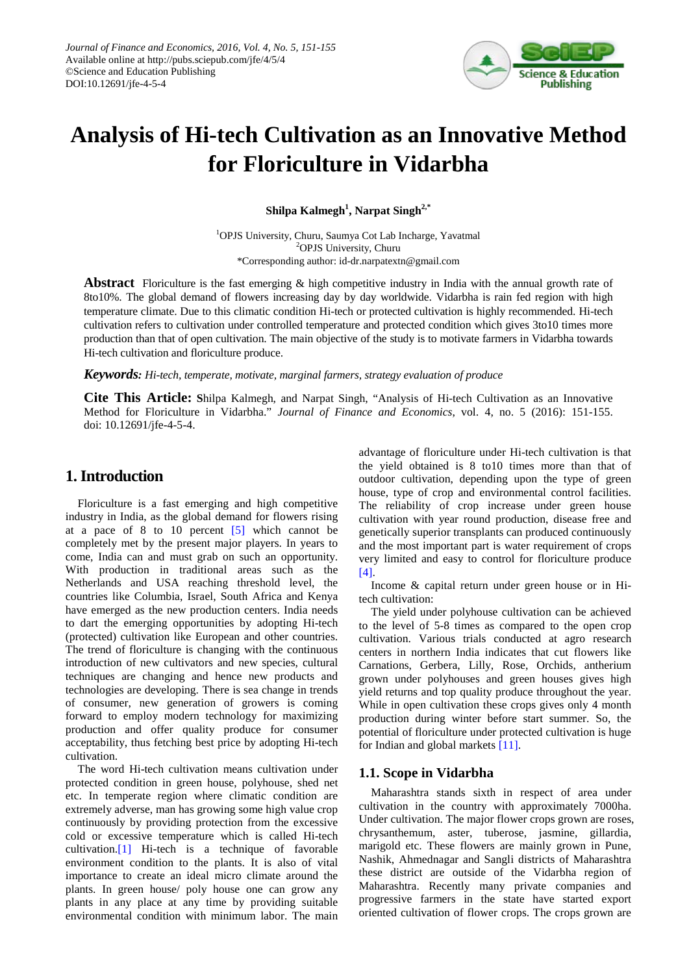

# **Analysis of Hi-tech Cultivation as an Innovative Method for Floriculture in Vidarbha**

 $\mathbf S$ hilpa Kalmegh<sup>1</sup>, Narpat Singh<sup>2,\*</sup>

1 OPJS University, Churu, Saumya Cot Lab Incharge, Yavatmal <sup>2</sup>OPJS University, Churu \*Corresponding author: id-dr.narpatextn@gmail.com

**Abstract** Floriculture is the fast emerging & high competitive industry in India with the annual growth rate of 8to10%. The global demand of flowers increasing day by day worldwide. Vidarbha is rain fed region with high temperature climate. Due to this climatic condition Hi-tech or protected cultivation is highly recommended. Hi-tech cultivation refers to cultivation under controlled temperature and protected condition which gives 3to10 times more production than that of open cultivation. The main objective of the study is to motivate farmers in Vidarbha towards Hi-tech cultivation and floriculture produce.

*Keywords: Hi-tech, temperate, motivate, marginal farmers, strategy evaluation of produce*

**Cite This Article: S**hilpa Kalmegh, and Narpat Singh, "Analysis of Hi-tech Cultivation as an Innovative Method for Floriculture in Vidarbha." *Journal of Finance and Economics*, vol. 4, no. 5 (2016): 151-155. doi: 10.12691/jfe-4-5-4.

## **1. Introduction**

Floriculture is a fast emerging and high competitive industry in India, as the global demand for flowers rising at a pace of 8 to 10 percent [\[5\]](#page-4-0) which cannot be completely met by the present major players. In years to come, India can and must grab on such an opportunity. With production in traditional areas such as the Netherlands and USA reaching threshold level, the countries like Columbia, Israel, South Africa and Kenya have emerged as the new production centers. India needs to dart the emerging opportunities by adopting Hi-tech (protected) cultivation like European and other countries. The trend of floriculture is changing with the continuous introduction of new cultivators and new species, cultural techniques are changing and hence new products and technologies are developing. There is sea change in trends of consumer, new generation of growers is coming forward to employ modern technology for maximizing production and offer quality produce for consumer acceptability, thus fetching best price by adopting Hi-tech cultivation.

The word Hi-tech cultivation means cultivation under protected condition in green house, polyhouse, shed net etc. In temperate region where climatic condition are extremely adverse, man has growing some high value crop continuously by providing protection from the excessive cold or excessive temperature which is called Hi-tech cultivation[.\[1\]](#page-4-1) Hi-tech is a technique of favorable environment condition to the plants. It is also of vital importance to create an ideal micro climate around the plants. In green house/ poly house one can grow any plants in any place at any time by providing suitable environmental condition with minimum labor. The main

advantage of floriculture under Hi-tech cultivation is that the yield obtained is 8 to10 times more than that of outdoor cultivation, depending upon the type of green house, type of crop and environmental control facilities. The reliability of crop increase under green house cultivation with year round production, disease free and genetically superior transplants can produced continuously and the most important part is water requirement of crops very limited and easy to control for floriculture produce [\[4\].](#page-4-2)

Income & capital return under green house or in Hitech cultivation:

The yield under polyhouse cultivation can be achieved to the level of 5-8 times as compared to the open crop cultivation. Various trials conducted at agro research centers in northern India indicates that cut flowers like Carnations, Gerbera, Lilly, Rose, Orchids, antherium grown under polyhouses and green houses gives high yield returns and top quality produce throughout the year. While in open cultivation these crops gives only 4 month production during winter before start summer. So, the potential of floriculture under protected cultivation is huge for Indian and global markets [\[11\].](#page-4-3)

## **1.1. Scope in Vidarbha**

Maharashtra stands sixth in respect of area under cultivation in the country with approximately 7000ha. Under cultivation. The major flower crops grown are roses, chrysanthemum, aster, tuberose, jasmine, gillardia, marigold etc. These flowers are mainly grown in Pune, Nashik, Ahmednagar and Sangli districts of Maharashtra these district are outside of the Vidarbha region of Maharashtra. Recently many private companies and progressive farmers in the state have started export oriented cultivation of flower crops. The crops grown are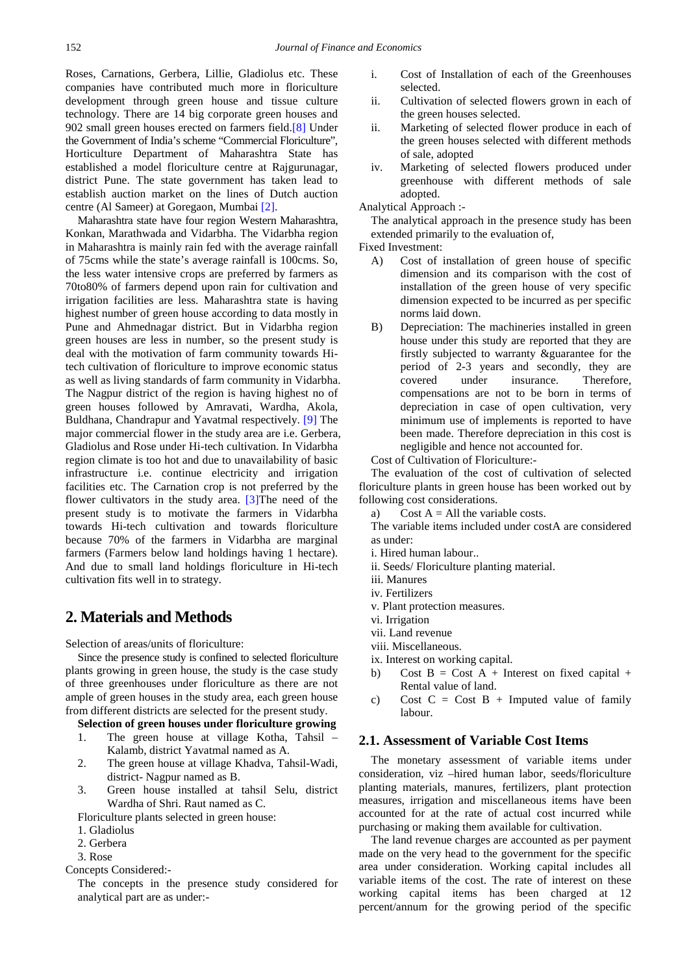Roses, Carnations, Gerbera, Lillie, Gladiolus etc. These companies have contributed much more in floriculture development through green house and tissue culture technology. There are 14 big corporate green houses and 902 small green houses erected on farmers fiel[d.\[8\]](#page-4-4) Under the Government of India's scheme "Commercial Floriculture", Horticulture Department of Maharashtra State has established a model floriculture centre at Rajgurunagar, district Pune. The state government has taken lead to establish auction market on the lines of Dutch auction centre (Al Sameer) at Goregaon, Mumbai [\[2\].](#page-4-5)

Maharashtra state have four region Western Maharashtra, Konkan, Marathwada and Vidarbha. The Vidarbha region in Maharashtra is mainly rain fed with the average rainfall of 75cms while the state's average rainfall is 100cms. So, the less water intensive crops are preferred by farmers as 70to80% of farmers depend upon rain for cultivation and irrigation facilities are less. Maharashtra state is having highest number of green house according to data mostly in Pune and Ahmednagar district. But in Vidarbha region green houses are less in number, so the present study is deal with the motivation of farm community towards Hitech cultivation of floriculture to improve economic status as well as living standards of farm community in Vidarbha. The Nagpur district of the region is having highest no of green houses followed by Amravati, Wardha, Akola, Buldhana, Chandrapur and Yavatmal respectively. [\[9\]](#page-4-6) The major commercial flower in the study area are i.e. Gerbera, Gladiolus and Rose under Hi-tech cultivation. In Vidarbha region climate is too hot and due to unavailability of basic infrastructure i.e. continue electricity and irrigation facilities etc. The Carnation crop is not preferred by the flower cultivators in the study area. [\[3\]T](#page-4-7)he need of the present study is to motivate the farmers in Vidarbha towards Hi-tech cultivation and towards floriculture because 70% of the farmers in Vidarbha are marginal farmers (Farmers below land holdings having 1 hectare). And due to small land holdings floriculture in Hi-tech cultivation fits well in to strategy.

## **2. Materials and Methods**

Selection of areas/units of floriculture:

Since the presence study is confined to selected floriculture plants growing in green house, the study is the case study of three greenhouses under floriculture as there are not ample of green houses in the study area, each green house from different districts are selected for the present study.

**Selection of green houses under floriculture growing**

- 1. The green house at village Kotha, Tahsil Kalamb, district Yavatmal named as A.
- 2. The green house at village Khadva, Tahsil-Wadi, district- Nagpur named as B.
- 3. Green house installed at tahsil Selu, district Wardha of Shri. Raut named as C.

Floriculture plants selected in green house:

- 1. Gladiolus
- 2. Gerbera
- 3. Rose
- Concepts Considered:-

The concepts in the presence study considered for analytical part are as under:-

- i. Cost of Installation of each of the Greenhouses selected.
- ii. Cultivation of selected flowers grown in each of the green houses selected.
- ii. Marketing of selected flower produce in each of the green houses selected with different methods of sale, adopted
- iv. Marketing of selected flowers produced under greenhouse with different methods of sale adopted.

Analytical Approach :-

The analytical approach in the presence study has been extended primarily to the evaluation of,

- Fixed Investment:
	- A) Cost of installation of green house of specific dimension and its comparison with the cost of installation of the green house of very specific dimension expected to be incurred as per specific norms laid down.
	- B) Depreciation: The machineries installed in green house under this study are reported that they are firstly subjected to warranty &guarantee for the period of 2-3 years and secondly, they are covered under insurance. Therefore, compensations are not to be born in terms of depreciation in case of open cultivation, very minimum use of implements is reported to have been made. Therefore depreciation in this cost is negligible and hence not accounted for.

Cost of Cultivation of Floriculture:-

The evaluation of the cost of cultivation of selected floriculture plants in green house has been worked out by following cost considerations.

a) Cost  $A = All$  the variable costs.

The variable items included under costA are considered as under:

- i. Hired human labour..
- ii. Seeds/ Floriculture planting material.
- iii. Manures
- iv. Fertilizers
- v. Plant protection measures.
- vi. Irrigation
- vii. Land revenue
- viii. Miscellaneous.
- ix. Interest on working capital.
- b) Cost  $B = Cost A + Interest on fixed capital +$ Rental value of land.
- c) Cost  $C = Cost B + Imputed value of family$ labour.

### **2.1. Assessment of Variable Cost Items**

The monetary assessment of variable items under consideration, viz –hired human labor, seeds/floriculture planting materials, manures, fertilizers, plant protection measures, irrigation and miscellaneous items have been accounted for at the rate of actual cost incurred while purchasing or making them available for cultivation.

The land revenue charges are accounted as per payment made on the very head to the government for the specific area under consideration. Working capital includes all variable items of the cost. The rate of interest on these working capital items has been charged at 12 percent/annum for the growing period of the specific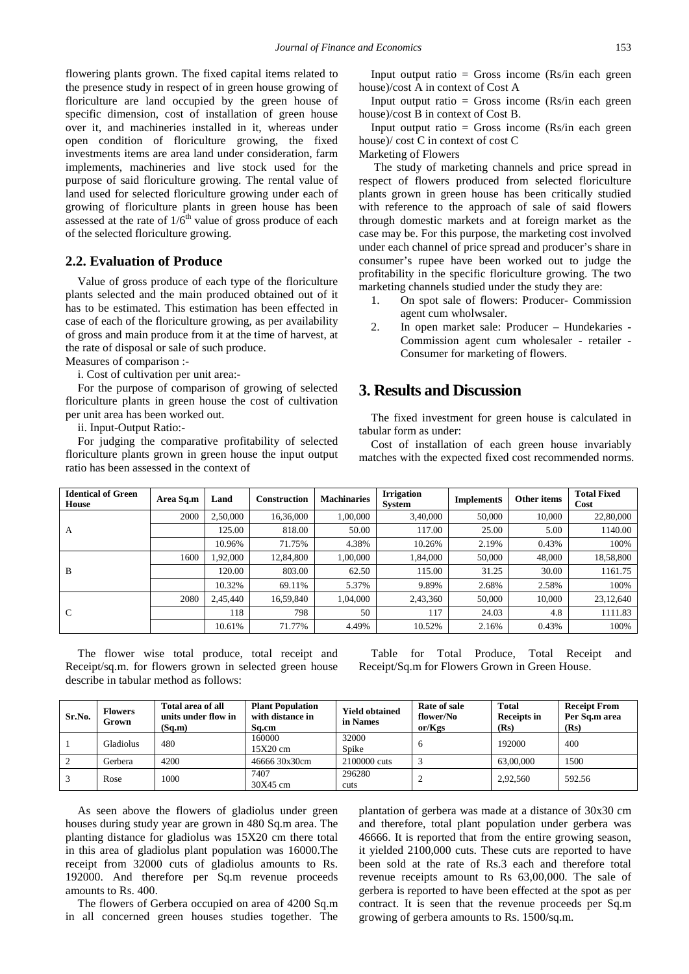flowering plants grown. The fixed capital items related to the presence study in respect of in green house growing of floriculture are land occupied by the green house of specific dimension, cost of installation of green house over it, and machineries installed in it, whereas under open condition of floriculture growing, the fixed investments items are area land under consideration, farm implements, machineries and live stock used for the purpose of said floriculture growing. The rental value of land used for selected floriculture growing under each of growing of floriculture plants in green house has been assessed at the rate of  $1/6^{th}$  value of gross produce of each of the selected floriculture growing.

#### **2.2. Evaluation of Produce**

Value of gross produce of each type of the floriculture plants selected and the main produced obtained out of it has to be estimated. This estimation has been effected in case of each of the floriculture growing, as per availability of gross and main produce from it at the time of harvest, at the rate of disposal or sale of such produce.

Measures of comparison :-

i. Cost of cultivation per unit area:-

For the purpose of comparison of growing of selected floriculture plants in green house the cost of cultivation per unit area has been worked out.

ii. Input-Output Ratio:-

For judging the comparative profitability of selected floriculture plants grown in green house the input output ratio has been assessed in the context of

Input output ratio = Gross income  $(Rs/in each green)$ house)/cost A in context of Cost A

Input output ratio = Gross income  $(Rs/in each green)$ house)/cost B in context of Cost B.

Input output ratio = Gross income  $(Rs/in each green)$ house)/ cost C in context of cost C

Marketing of Flowers

The study of marketing channels and price spread in respect of flowers produced from selected floriculture plants grown in green house has been critically studied with reference to the approach of sale of said flowers through domestic markets and at foreign market as the case may be. For this purpose, the marketing cost involved under each channel of price spread and producer's share in consumer's rupee have been worked out to judge the profitability in the specific floriculture growing. The two marketing channels studied under the study they are:

- 1. On spot sale of flowers: Producer- Commission agent cum wholwsaler.
- 2. In open market sale: Producer Hundekaries Commission agent cum wholesaler - retailer - Consumer for marketing of flowers.

## **3. Results and Discussion**

The fixed investment for green house is calculated in tabular form as under:

Cost of installation of each green house invariably matches with the expected fixed cost recommended norms.

| <b>Identical of Green</b><br><b>House</b> | Area Sq.m | Land     | Construction | <b>Machinaries</b> | <b>Irrigation</b><br>System | <b>ImplementS</b> | Other items | <b>Total Fixed</b><br>Cost |
|-------------------------------------------|-----------|----------|--------------|--------------------|-----------------------------|-------------------|-------------|----------------------------|
| A                                         | 2000      | 2,50,000 | 16,36,000    | 1,00,000           | 3,40,000                    | 50,000            | 10,000      | 22,80,000                  |
|                                           |           | 125.00   | 818.00       | 50.00              | 117.00                      | 25.00             | 5.00        | 1140.00                    |
|                                           |           | 10.96%   | 71.75%       | 4.38%              | 10.26%                      | 2.19%             | 0.43%       | 100%                       |
| B                                         | 1600      | 1,92,000 | 12,84,800    | 1,00,000           | 1,84,000                    | 50,000            | 48,000      | 18,58,800                  |
|                                           |           | 120.00   | 803.00       | 62.50              | 115.00                      | 31.25             | 30.00       | 1161.75                    |
|                                           |           | 10.32%   | 69.11%       | 5.37%              | 9.89%                       | 2.68%             | 2.58%       | 100%                       |
| C                                         | 2080      | 2,45,440 | 16,59,840    | 1,04,000           | 2,43,360                    | 50,000            | 10,000      | 23,12,640                  |
|                                           |           | 118      | 798          | 50                 | 117                         | 24.03             | 4.8         | 1111.83                    |
|                                           |           | 10.61%   | 71.77%       | 4.49%              | 10.52%                      | 2.16%             | 0.43%       | 100%                       |

The flower wise total produce, total receipt and Receipt/sq.m. for flowers grown in selected green house describe in tabular method as follows:

Table for Total Produce, Total Receipt and Receipt/Sq.m for Flowers Grown in Green House.

| Sr.No. | <b>Flowers</b><br>Grown | Total area of all<br>units under flow in<br>(Sq.m) | <b>Plant Population</b><br>with distance in<br>Sa.cm | <b>Yield obtained</b><br>in Names | Rate of sale<br>flower/No<br>or/Kgs | <b>Total</b><br><b>Receipts in</b><br>(Rs) | <b>Receipt From</b><br>Per Sq.m area<br>(Rs) |
|--------|-------------------------|----------------------------------------------------|------------------------------------------------------|-----------------------------------|-------------------------------------|--------------------------------------------|----------------------------------------------|
|        | Gladiolus               | 480                                                | 160000<br>$15X20$ cm                                 | 32000<br>Spike                    | . რ                                 | 192000                                     | 400                                          |
|        | Gerbera                 | 4200                                               | 46666 30x30cm                                        | 2100000 cuts                      |                                     | 63,00,000                                  | 1500                                         |
|        | Rose                    | 1000                                               | 7407<br>30X45 cm                                     | 296280<br>cuts                    |                                     | 2.92.560                                   | 592.56                                       |

As seen above the flowers of gladiolus under green houses during study year are grown in 480 Sq.m area. The planting distance for gladiolus was 15X20 cm there total in this area of gladiolus plant population was 16000.The receipt from 32000 cuts of gladiolus amounts to Rs. 192000. And therefore per Sq.m revenue proceeds amounts to Rs. 400.

The flowers of Gerbera occupied on area of 4200 Sq.m in all concerned green houses studies together. The

plantation of gerbera was made at a distance of 30x30 cm and therefore, total plant population under gerbera was 46666. It is reported that from the entire growing season, it yielded 2100,000 cuts. These cuts are reported to have been sold at the rate of Rs.3 each and therefore total revenue receipts amount to Rs 63,00,000. The sale of gerbera is reported to have been effected at the spot as per contract. It is seen that the revenue proceeds per Sq.m growing of gerbera amounts to Rs. 1500/sq.m.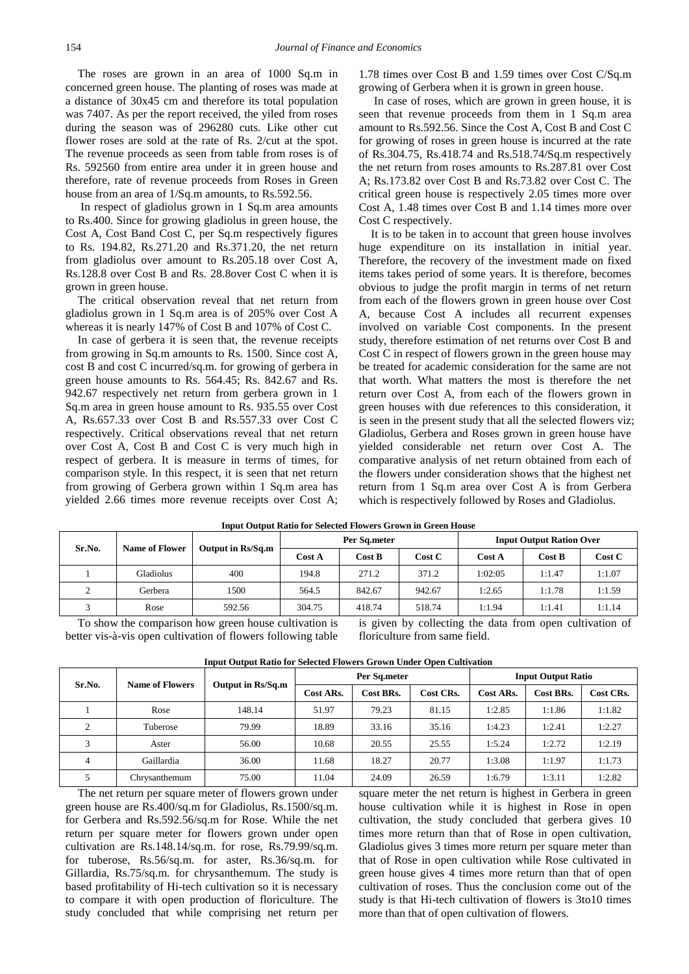The roses are grown in an area of 1000 Sq.m in concerned green house. The planting of roses was made at a distance of 30x45 cm and therefore its total population was 7407. As per the report received, the yiled from roses during the season was of 296280 cuts. Like other cut flower roses are sold at the rate of Rs. 2/cut at the spot. The revenue proceeds as seen from table from roses is of Rs. 592560 from entire area under it in green house and therefore, rate of revenue proceeds from Roses in Green house from an area of 1/Sq.m amounts, to Rs.592.56.

In respect of gladiolus grown in 1 Sq.m area amounts to Rs.400. Since for growing gladiolus in green house, the Cost A, Cost Band Cost C, per Sq.m respectively figures to Rs. 194.82, Rs.271.20 and Rs.371.20, the net return from gladiolus over amount to Rs.205.18 over Cost A, Rs.128.8 over Cost B and Rs. 28.8over Cost C when it is grown in green house.

The critical observation reveal that net return from gladiolus grown in 1 Sq.m area is of 205% over Cost A whereas it is nearly 147% of Cost B and 107% of Cost C.

In case of gerbera it is seen that, the revenue receipts from growing in Sq.m amounts to Rs. 1500. Since cost A, cost B and cost C incurred/sq.m. for growing of gerbera in green house amounts to Rs. 564.45; Rs. 842.67 and Rs. 942.67 respectively net return from gerbera grown in 1 Sq.m area in green house amount to Rs. 935.55 over Cost A, Rs.657.33 over Cost B and Rs.557.33 over Cost C respectively. Critical observations reveal that net return over Cost A, Cost B and Cost C is very much high in respect of gerbera. It is measure in terms of times, for comparison style. In this respect, it is seen that net return from growing of Gerbera grown within 1 Sq.m area has yielded 2.66 times more revenue receipts over Cost A;

1.78 times over Cost B and 1.59 times over Cost C/Sq.m growing of Gerbera when it is grown in green house.

In case of roses, which are grown in green house, it is seen that revenue proceeds from them in 1 Sq.m area amount to Rs.592.56. Since the Cost A, Cost B and Cost C for growing of roses in green house is incurred at the rate of Rs.304.75, Rs.418.74 and Rs.518.74/Sq.m respectively the net return from roses amounts to Rs.287.81 over Cost A; Rs.173.82 over Cost B and Rs.73.82 over Cost C. The critical green house is respectively 2.05 times more over Cost A, 1.48 times over Cost B and 1.14 times more over Cost C respectively.

It is to be taken in to account that green house involves huge expenditure on its installation in initial year. Therefore, the recovery of the investment made on fixed items takes period of some years. It is therefore, becomes obvious to judge the profit margin in terms of net return from each of the flowers grown in green house over Cost A, because Cost A includes all recurrent expenses involved on variable Cost components. In the present study, therefore estimation of net returns over Cost B and Cost C in respect of flowers grown in the green house may be treated for academic consideration for the same are not that worth. What matters the most is therefore the net return over Cost A, from each of the flowers grown in green houses with due references to this consideration, it is seen in the present study that all the selected flowers viz; Gladiolus, Gerbera and Roses grown in green house have yielded considerable net return over Cost A. The comparative analysis of net return obtained from each of the flowers under consideration shows that the highest net return from 1 Sq.m area over Cost A is from Gerbera which is respectively followed by Roses and Gladiolus.

| Sr.No.   | <b>Name of Flower</b> |                   |        | Per Sq.meter |        | <b>Input Output Ration Over</b> |        |        |
|----------|-----------------------|-------------------|--------|--------------|--------|---------------------------------|--------|--------|
|          |                       | Output in Rs/Sq.m | Cost A | Cost B       | Cost C | Cost A                          | Cost B | Cost C |
|          | Gladiolus             | 400               | 194.8  | 271.2        | 371.2  | 1:02:05                         | 1:1.47 | 1:1.07 |
| $\gamma$ | Gerbera               | 1500              | 564.5  | 842.67       | 942.67 | 1:2.65                          | 1:1.78 | 1:1.59 |
|          | Rose                  | 592.56            | 304.75 | 418.74       | 518.74 | 1:1.94                          | 1:1.41 | 1:1.14 |

**Input Output Ratio for Selected Flowers Crown in Creen House** 

To show the comparison how green house cultivation is better vis-à-vis open cultivation of flowers following table

is given by collecting the data from open cultivation of floriculture from same field.

| Sr.No. | <b>Name of Flowers</b> | Output in Rs/Sq.m |           | Per Sq.meter |           | <b>Input Output Ratio</b> |           |           |
|--------|------------------------|-------------------|-----------|--------------|-----------|---------------------------|-----------|-----------|
|        |                        |                   | Cost ARs. | Cost BRs.    | Cost CRs. | Cost ARs.                 | Cost BRs. | Cost CRs. |
|        | Rose                   | 148.14            | 51.97     | 79.23        | 81.15     | 1:2.85                    | 1:1.86    | 1:1.82    |
|        | Tuberose               | 79.99             | 18.89     | 33.16        | 35.16     | 1:4.23                    | 1:2.41    | 1:2.27    |
|        | Aster                  | 56.00             | 10.68     | 20.55        | 25.55     | 1:5.24                    | 1:2.72    | 1:2.19    |
| 4      | Gaillardia             | 36.00             | 11.68     | 18.27        | 20.77     | 1:3.08                    | 1:1.97    | 1:1.73    |
|        | Chrysanthemum          | 75.00             | 11.04     | 24.09        | 26.59     | 1:6.79                    | 1:3.11    | 1:2.82    |

**Input Output Ratio for Selected Flowers Grown Under Open Cultivation**

The net return per square meter of flowers grown under green house are Rs.400/sq.m for Gladiolus, Rs.1500/sq.m. for Gerbera and Rs.592.56/sq.m for Rose. While the net return per square meter for flowers grown under open cultivation are Rs.148.14/sq.m. for rose, Rs.79.99/sq.m. for tuberose, Rs.56/sq.m. for aster, Rs.36/sq.m. for Gillardia, Rs.75/sq.m. for chrysanthemum. The study is based profitability of Hi-tech cultivation so it is necessary to compare it with open production of floriculture. The study concluded that while comprising net return per square meter the net return is highest in Gerbera in green house cultivation while it is highest in Rose in open cultivation, the study concluded that gerbera gives 10 times more return than that of Rose in open cultivation, Gladiolus gives 3 times more return per square meter than that of Rose in open cultivation while Rose cultivated in green house gives 4 times more return than that of open cultivation of roses. Thus the conclusion come out of the study is that Hi-tech cultivation of flowers is 3to10 times more than that of open cultivation of flowers.